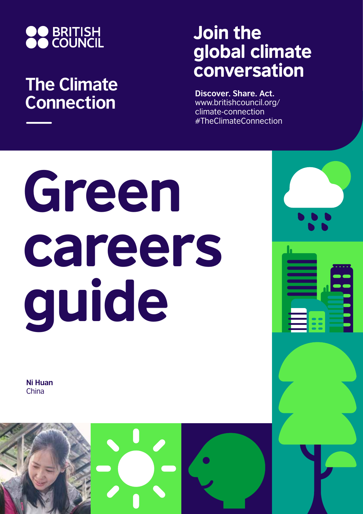

# **The Climate Connection**

# Join the global climate conversation

**Discover. Share. Act.** www.britishcouncil.org/ climate-connection #TheClimateConnection

# Green careers guide

**Ni Huan** China

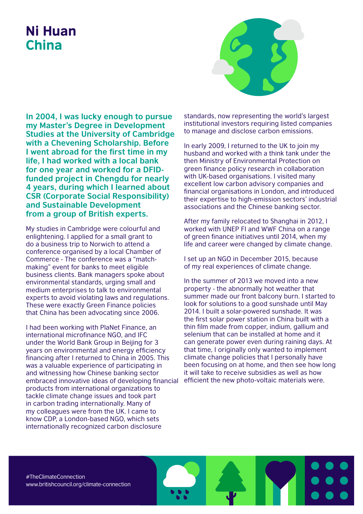## Ni Huan China



**In 2004, I was lucky enough to pursue my Master's Degree in Development Studies at the University of Cambridge with a Chevening Scholarship. Before I went abroad for the first time in my life, I had worked with a local bank for one year and worked for a DFIDfunded project in Chengdu for nearly 4 years, during which I learned about CSR (Corporate Social Responsibility) and Sustainable Development from a group of British experts.** 

My studies in Cambridge were colourful and enlightening. I applied for a small grant to do a business trip to Norwich to attend a conference organised by a local Chamber of Commerce - The conference was a "matchmaking" event for banks to meet eligible business clients. Bank managers spoke about environmental standards, urging small and medium enterprises to talk to environmental experts to avoid violating laws and regulations. These were exactly Green Finance policies that China has been advocating since 2006.

I had been working with PlaNet Finance, an international microfinance NGO, and IFC under the World Bank Group in Beijing for 3 years on environmental and energy efficiency financing after I returned to China in 2005. This was a valuable experience of participating in and witnessing how Chinese banking sector embraced innovative ideas of developing financial products from international organizations to tackle climate change issues and took part in carbon trading internationally. Many of my colleagues were from the UK. I came to know CDP, a London-based NGO, which sets internationally recognized carbon disclosure

standards, now representing the world's largest institutional investors requiring listed companies to manage and disclose carbon emissions.

In early 2009, I returned to the UK to join my husband and worked with a think tank under the then Ministry of Environmental Protection on green finance policy research in collaboration with UK-based organisations. I visited many excellent low carbon advisory companies and financial organisations in London, and introduced their expertise to high-emission sectors' industrial associations and the Chinese banking sector.

After my family relocated to Shanghai in 2012, I worked with UNEP FI and WWF China on a range of green finance initiatives until 2014, when my life and career were changed by climate change.

I set up an NGO in December 2015, because of my real experiences of climate change.

In the summer of 2013 we moved into a new property - the abnormally hot weather that summer made our front balcony burn. I started to look for solutions to a good sunshade until May 2014. I built a solar-powered sunshade. It was the first solar power station in China built with a thin film made from copper, indium, gallium and selenium that can be installed at home and it can generate power even during raining days. At that time, I originally only wanted to implement climate change policies that I personally have been focusing on at home, and then see how long it will take to receive subsidies as well as how efficient the new photo-voltaic materials were.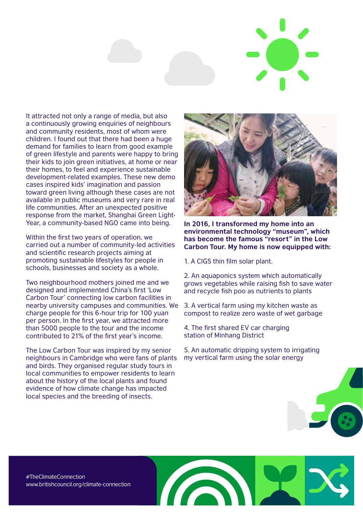

It attracted not only a range of media, but also a continuously growing enquiries of neighbours and community residents, most of whom were children. I found out that there had been a huge demand for families to learn from good example of green lifestyle and parents were happy to bring their kids to join green initiatives, at home or near their homes, to feel and experience sustainable development-related examples. These new demo cases inspired kids' imagination and passion toward green living although these cases are not available in public museums and very rare in real life communities. After an unexpected positive response from the market, Shanghai Green Light-Year, a community-based NGO came into being.

Within the first two years of operation, we carried out a number of community-led activities and scientific research projects aiming at promoting sustainable lifestyles for people in schools, businesses and society as a whole.

Two neighbourhood mothers joined me and we designed and implemented China's first 'Low Carbon Tour' connecting low carbon facilities in nearby university campuses and communities. We charge people for this 6-hour trip for 100 yuan per person. In the first year, we attracted more than 5000 people to the tour and the income contributed to 21% of the first year's income.

The Low Carbon Tour was inspired by my senior neighbours in Cambridge who were fans of plants and birds. They organised regular study tours in local communities to empower residents to learn about the history of the local plants and found evidence of how climate change has impacted local species and the breeding of insects.



**In 2016, I transformed my home into an environmental technology "museum", which has become the famous "resort" in the Low Carbon Tour. My home is now equipped with:**

1. A CIGS thin film solar plant.

2. An aquaponics system which automatically grows vegetables while raising fish to save water and recycle fish poo as nutrients to plants

3. A vertical farm using my kitchen waste as compost to realize zero waste of wet garbage

4. The first shared EV car charging station of Minhang District

5. An automatic dripping system to irrigating my vertical farm using the solar energy



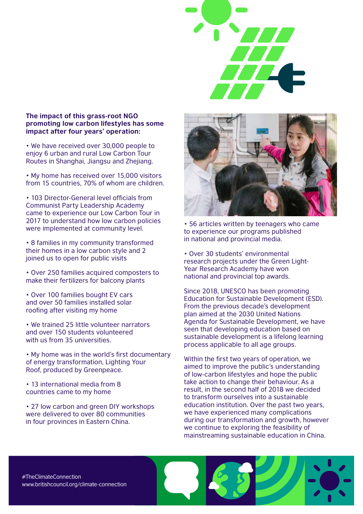#### **The impact of this grass-root NGO promoting low carbon lifestyles has some impact after four years' operation:**

• We have received over 30,000 people to enjoy 6 urban and rural Low Carbon Tour Routes in Shanghai, Jiangsu and Zhejiang.

• My home has received over 15,000 visitors from 15 countries, 70% of whom are children.

• 103 Director-General level officials from Communist Party Leadership Academy came to experience our Low Carbon Tour in 2017 to understand how low carbon policies were implemented at community level.

• 8 families in my community transformed their homes in a low carbon style and 2 joined us to open for public visits

• Over 250 families acquired composters to make their fertilizers for balcony plants

• Over 100 families bought EV cars and over 50 families installed solar roofing after visiting my home

• We trained 25 little volunteer narrators and over 150 students volunteered with us from 35 universities.

• My home was in the world's first documentary of energy transformation, Lighting Your Roof, produced by Greenpeace.

• 13 international media from 8 countries came to my home

• 27 low carbon and green DIY workshops were delivered to over 80 communities in four provinces in Eastern China.



• 56 articles written by teenagers who came to experience our programs published in national and provincial media.

• Over 30 students' environmental research projects under the Green Light-Year Research Academy have won national and provincial top awards.

Since 2018, UNESCO has been promoting Education for Sustainable Development (ESD). From the previous decade's development plan aimed at the 2030 United Nations Agenda for Sustainable Development, we have seen that developing education based on sustainable development is a lifelong learning process applicable to all age groups.

Within the first two years of operation, we aimed to improve the public's understanding of low-carbon lifestyles and hope the public take action to change their behaviour. As a result, in the second half of 2018 we decided to transform ourselves into a sustainable education institution. Over the past two years, we have experienced many complications during our transformation and growth, however we continue to exploring the feasibility of mainstreaming sustainable education in China.